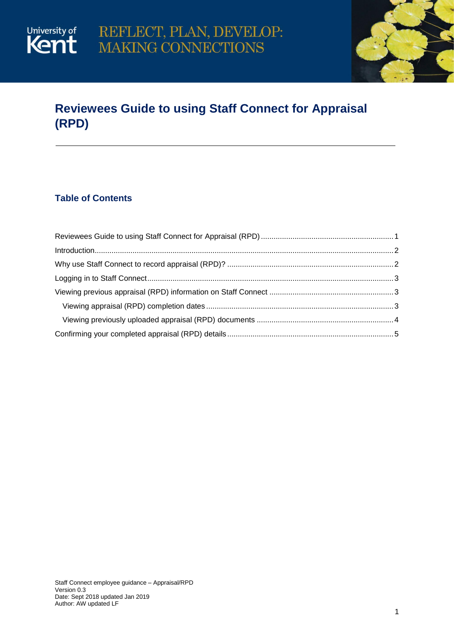

## <span id="page-0-0"></span>**Reviewees Guide to using Staff Connect for Appraisal (RPD)**

### **Table of Contents**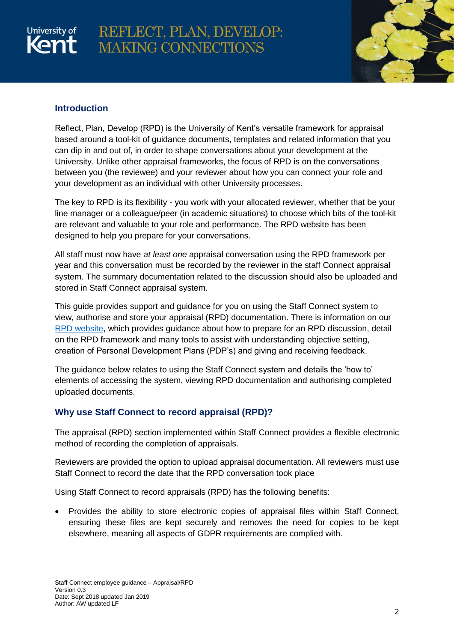# University of

## REFLECT, PLAN, DEVELOP: MAKING CONNECTIONS



#### <span id="page-1-0"></span>**Introduction**

Reflect, Plan, Develop (RPD) is the University of Kent's versatile framework for appraisal based around a tool-kit of guidance documents, templates and related information that you can dip in and out of, in order to shape conversations about your development at the University. Unlike other appraisal frameworks, the focus of RPD is on the conversations between you (the reviewee) and your reviewer about how you can connect your role and your development as an individual with other University processes.

The key to RPD is its flexibility - you work with your allocated reviewer, whether that be your line manager or a colleague/peer (in academic situations) to choose which bits of the tool-kit are relevant and valuable to your role and performance. The RPD website has been designed to help you prepare for your conversations.

All staff must now have *at least one* appraisal conversation using the RPD framework per year and this conversation must be recorded by the reviewer in the staff Connect appraisal system. The summary documentation related to the discussion should also be uploaded and stored in Staff Connect appraisal system.

This guide provides support and guidance for you on using the Staff Connect system to view, authorise and store your appraisal (RPD) documentation. There is information on our [RPD website,](https://www.kent.ac.uk/human-resources/rpd/) which provides guidance about how to prepare for an RPD discussion, detail on the RPD framework and many tools to assist with understanding objective setting, creation of Personal Development Plans (PDP's) and giving and receiving feedback.

The guidance below relates to using the Staff Connect system and details the 'how to' elements of accessing the system, viewing RPD documentation and authorising completed uploaded documents.

#### <span id="page-1-1"></span>**Why use Staff Connect to record appraisal (RPD)?**

The appraisal (RPD) section implemented within Staff Connect provides a flexible electronic method of recording the completion of appraisals.

Reviewers are provided the option to upload appraisal documentation. All reviewers must use Staff Connect to record the date that the RPD conversation took place

Using Staff Connect to record appraisals (RPD) has the following benefits:

 Provides the ability to store electronic copies of appraisal files within Staff Connect, ensuring these files are kept securely and removes the need for copies to be kept elsewhere, meaning all aspects of GDPR requirements are complied with.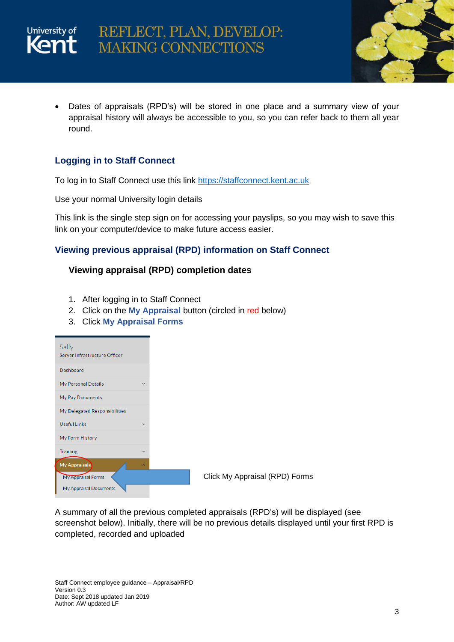



 Dates of appraisals (RPD's) will be stored in one place and a summary view of your appraisal history will always be accessible to you, so you can refer back to them all year round.

#### <span id="page-2-0"></span>**Logging in to Staff Connect**

To log in to Staff Connect use this link [https://staffconnect.kent.ac.uk](https://staffconnect.kent.ac.uk/)

Use your normal University login details

This link is the single step sign on for accessing your payslips, so you may wish to save this link on your computer/device to make future access easier.

#### <span id="page-2-1"></span>**Viewing previous appraisal (RPD) information on Staff Connect**

#### <span id="page-2-2"></span>**Viewing appraisal (RPD) completion dates**

- 1. After logging in to Staff Connect
- 2. Click on the **My Appraisal** button (circled in red below)
- 3. Click **My Appraisal Forms**

| Sally<br>Server Infrastructure Officer |              |
|----------------------------------------|--------------|
| Dashboard                              |              |
| My Personal Details                    | $\checkmark$ |
| My Pay Documents                       |              |
| My Delegated Responsibilities          |              |
| <b>Useful Links</b>                    | $\checkmark$ |
| My Form History                        |              |
| <b>Training</b>                        | $\checkmark$ |
| <b>My Appraisals</b>                   | ́            |
| My Appraisal Forms                     |              |
| My Appraisal Documents                 |              |

A summary of all the previous completed appraisals (RPD's) will be displayed (see screenshot below). Initially, there will be no previous details displayed until your first RPD is completed, recorded and uploaded

Staff Connect employee guidance – Appraisal/RPD Version 0.3 Date: Sept 2018 updated Jan 2019 Author: AW updated LF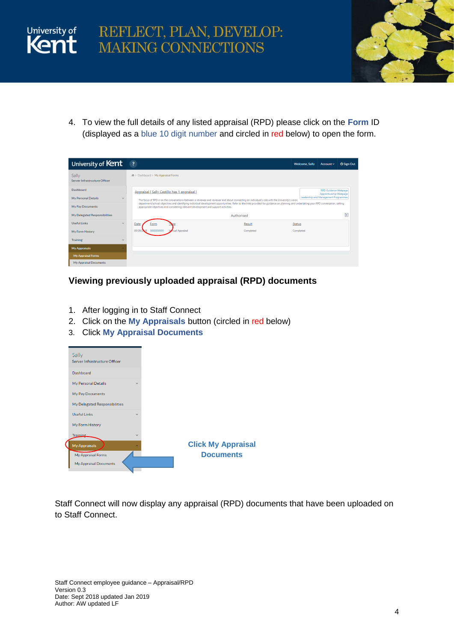



4. To view the full details of any listed appraisal (RPD) please click on the **Form** ID (displayed as a blue 10 digit number and circled in red below) to open the form.

| University of Kent                     | $\overline{\mathbf{3}}$                                                                                                                          | <b>Welcome, Sally</b>                                                                                                                                                                  | Account ~                                             | <b>U</b> Sign Out |  |  |  |  |  |  |
|----------------------------------------|--------------------------------------------------------------------------------------------------------------------------------------------------|----------------------------------------------------------------------------------------------------------------------------------------------------------------------------------------|-------------------------------------------------------|-------------------|--|--|--|--|--|--|
| Sally<br>Server Infrastructure Officer | 骨 > Dashboard > My Appraisal Forms                                                                                                               |                                                                                                                                                                                        |                                                       |                   |  |  |  |  |  |  |
| Dashboard                              | Appraisal [Sally Castillo has 1 appraisal ]                                                                                                      |                                                                                                                                                                                        | <b>RPD Guidance Webpage</b><br>Apprenticeship Webpage |                   |  |  |  |  |  |  |
| My Personal Details                    | The focus of RPD is on the conversations between a reviewee and reviewer and about connecting an individual's role with the University's vision, |                                                                                                                                                                                        | Leadership and Management Programmes                  |                   |  |  |  |  |  |  |
| My Pay Documents                       | appropriate objectives and considering relevant development and support activities.                                                              | department/school objectives and identifying individual development opportunities. Refer to the links provided for quidance on planning and undertaking your RPD conversation, setting |                                                       |                   |  |  |  |  |  |  |
| My Delegated Responsibilities          | Authorised                                                                                                                                       |                                                                                                                                                                                        |                                                       | E                 |  |  |  |  |  |  |
| <b>Useful Links</b><br>$\sim$          | Date<br>Result<br>Form                                                                                                                           | <b>Status</b>                                                                                                                                                                          |                                                       |                   |  |  |  |  |  |  |
| My Form History                        | 05/09<br>nual Appraisal<br>Completed<br>000000000                                                                                                | Completed                                                                                                                                                                              |                                                       |                   |  |  |  |  |  |  |
| <b>Training</b>                        |                                                                                                                                                  |                                                                                                                                                                                        |                                                       |                   |  |  |  |  |  |  |
| <b>My Appraisals</b>                   |                                                                                                                                                  |                                                                                                                                                                                        |                                                       |                   |  |  |  |  |  |  |
| My Appraisal Forms                     |                                                                                                                                                  |                                                                                                                                                                                        |                                                       |                   |  |  |  |  |  |  |
| My Appraisal Documents                 |                                                                                                                                                  |                                                                                                                                                                                        |                                                       |                   |  |  |  |  |  |  |

#### <span id="page-3-0"></span>**Viewing previously uploaded appraisal (RPD) documents**

- 1. After logging in to Staff Connect
- 2. Click on the **My Appraisals** button (circled in red below)
- 3. Click **My Appraisal Documents**



Staff Connect will now display any appraisal (RPD) documents that have been uploaded on to Staff Connect.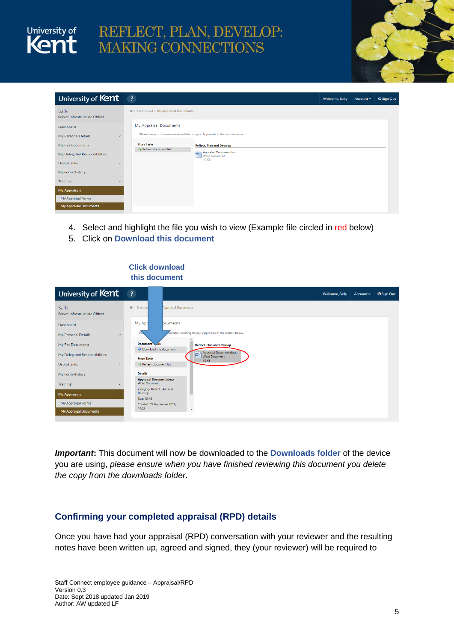



| University of Kent                                  | $\overline{?}$                                                                     | Welcome, Sally | Account $\sim$ | <b>U</b> Sign Out |
|-----------------------------------------------------|------------------------------------------------------------------------------------|----------------|----------------|-------------------|
| Sally<br>Server Infrastructure Officer              | 骨 > Dashboard > My Appraisal Documents                                             |                |                |                   |
| Dashboard                                           | <b>My Appraisal Documents</b>                                                      |                |                |                   |
| My Personal Details                                 | Please see your documentation relating to your Appraisals in the section below.    |                |                |                   |
| My Pay Documents                                    | <b>Store Tasks</b><br><b>Reflect, Plan and Develop</b><br>** Refresh document list |                |                |                   |
| My Delegated Responsibilities                       | Appraisal Document.docx                                                            |                |                |                   |
| <b>Useful Links</b><br>$\checkmark$                 | <b>10 KB</b>                                                                       |                |                |                   |
| My Form History                                     |                                                                                    |                |                |                   |
| Training<br>$\ddot{}$                               |                                                                                    |                |                |                   |
| <b>My Appraisals</b>                                |                                                                                    |                |                |                   |
| My Appraisal Forms<br><b>My Appraisal Documents</b> |                                                                                    |                |                |                   |

- 4. Select and highlight the file you wish to view (Example file circled in red below)
- 5. Click on **Download this document**

#### **Click download this document**

| University of Kent                          | $\left  \cdot \right $                          |                            |              |              |                                                             |  |  | <b>Welcome, Sally</b> | Account v | <b>U</b> Sign Out |
|---------------------------------------------|-------------------------------------------------|----------------------------|--------------|--------------|-------------------------------------------------------------|--|--|-----------------------|-----------|-------------------|
| Sally<br>Server Infrastructure Officer      | <b>备</b> > Dashbo                               | <b>Appraisal Documents</b> |              |              |                                                             |  |  |                       |           |                   |
| Dashboard                                   | My App                                          | bcuments                   |              |              |                                                             |  |  |                       |           |                   |
| My Personal Details<br>$\checkmark$         | Ple                                             |                            |              |              | fentation relating to your Appraisals in the section below. |  |  |                       |           |                   |
| My Pay Documents                            | Document Maks<br>Download this document         |                            |              |              | <b>Reflect, Plan and Develop</b>                            |  |  |                       |           |                   |
| My Delegated Responsibilities               | <b>Store Tasks</b>                              |                            |              | 回            | Appraisal Document.docx<br>Word Document                    |  |  |                       |           |                   |
| <b>Useful Links</b><br>$\checkmark$         | ** Refresh document list                        |                            |              | <b>10 KB</b> |                                                             |  |  |                       |           |                   |
| My Form History                             | <b>Details</b>                                  |                            |              |              |                                                             |  |  |                       |           |                   |
| <b>Training</b><br>$\overline{\phantom{a}}$ | <b>Appraisal Document.docx</b><br>Word Document |                            |              |              |                                                             |  |  |                       |           |                   |
| My Appraisals                               | Category: Reflect, Plan and<br>Develop          |                            |              |              |                                                             |  |  |                       |           |                   |
| My Appraisal Forms                          | Size: 10 KB<br>Created: 05 September 2018,      |                            |              |              |                                                             |  |  |                       |           |                   |
| My Appraisal Documents                      | 14:33                                           |                            | $\checkmark$ |              |                                                             |  |  |                       |           |                   |

*Important***:** This document will now be downloaded to the **Downloads folder** of the device you are using, *please ensure when you have finished reviewing this document you delete the copy from the downloads folder*.

#### <span id="page-4-0"></span>**Confirming your completed appraisal (RPD) details**

Once you have had your appraisal (RPD) conversation with your reviewer and the resulting notes have been written up, agreed and signed, they (your reviewer) will be required to

Staff Connect employee guidance – Appraisal/RPD Version 0.3 Date: Sept 2018 updated Jan 2019 Author: AW updated LF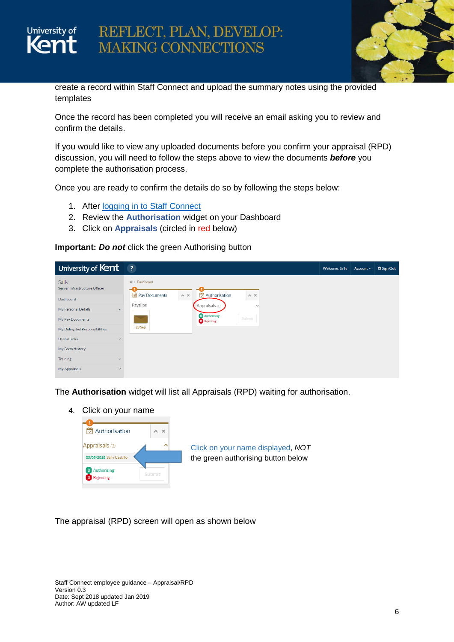

create a record within Staff Connect and upload the summary notes using the provided templates

Once the record has been completed you will receive an email asking you to review and confirm the details.

If you would like to view any uploaded documents before you confirm your appraisal (RPD) discussion, you will need to follow the steps above to view the documents *before* you complete the authorisation process.

Once you are ready to confirm the details do so by following the steps below:

1. After [logging in to Staff Connect](#page-2-0)

University of

- 2. Review the **Authorisation** widget on your Dashboard
- 3. Click on **Appraisals** (circled in red below)

**Important:** *Do not* click the green Authorising button

| University of Kent                                                                                             | $\overline{\mathbf{3}}$                                                                                                                                                                                                                | <b>Welcome, Sally</b> | Account $\sim$ | <b>U</b> Sign Out |
|----------------------------------------------------------------------------------------------------------------|----------------------------------------------------------------------------------------------------------------------------------------------------------------------------------------------------------------------------------------|-----------------------|----------------|-------------------|
| Sally<br>Server Infrastructure Officer<br>Dashboard<br>My Personal Details<br>$\checkmark$<br>My Pay Documents | 备> Dashboard<br>$\heartsuit$ Authorisation<br>Pay Documents<br>$\sim~\times$<br>$\wedge\hspace{0.1cm} \times$<br>Payslips<br>$\Box$ Appraisals $(1)$<br>$\checkmark$<br><b>O</b> Authorising<br>Submit<br><b>O</b> Rejecting<br>28 Sep |                       |                |                   |
| My Delegated Responsibilities<br><b>Useful Links</b><br>$\vee$                                                 |                                                                                                                                                                                                                                        |                       |                |                   |
| My Form History                                                                                                |                                                                                                                                                                                                                                        |                       |                |                   |
| <b>Training</b><br>$\overline{\phantom{a}}$                                                                    |                                                                                                                                                                                                                                        |                       |                |                   |
| My Appraisals<br>$\checkmark$                                                                                  |                                                                                                                                                                                                                                        |                       |                |                   |

The **Authorisation** widget will list all Appraisals (RPD) waiting for authorisation.

4. Click on your name



The appraisal (RPD) screen will open as shown below